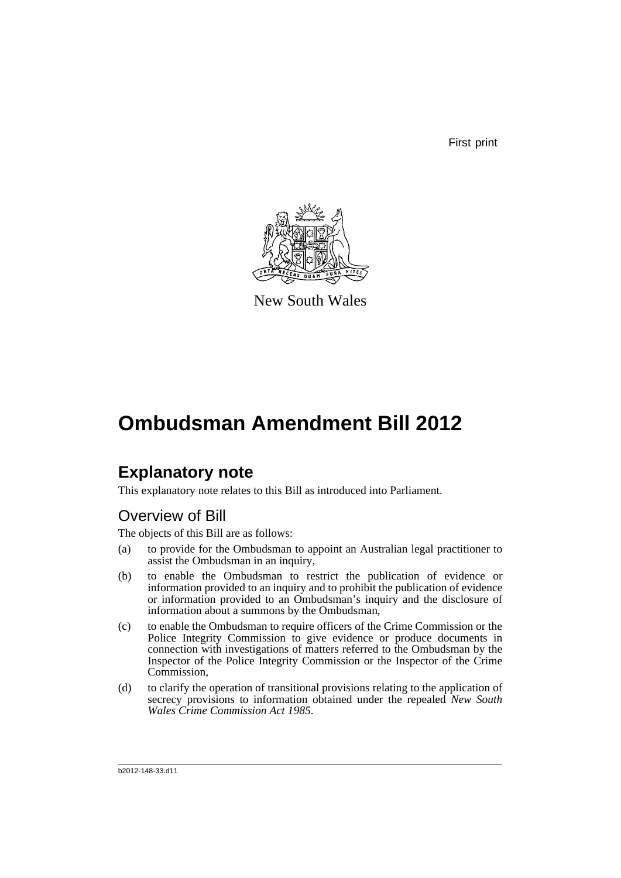First print



New South Wales

# **Ombudsman Amendment Bill 2012**

## **Explanatory note**

This explanatory note relates to this Bill as introduced into Parliament.

## Overview of Bill

The objects of this Bill are as follows:

- (a) to provide for the Ombudsman to appoint an Australian legal practitioner to assist the Ombudsman in an inquiry,
- (b) to enable the Ombudsman to restrict the publication of evidence or information provided to an inquiry and to prohibit the publication of evidence or information provided to an Ombudsman's inquiry and the disclosure of information about a summons by the Ombudsman,
- (c) to enable the Ombudsman to require officers of the Crime Commission or the Police Integrity Commission to give evidence or produce documents in connection with investigations of matters referred to the Ombudsman by the Inspector of the Police Integrity Commission or the Inspector of the Crime Commission,
- (d) to clarify the operation of transitional provisions relating to the application of secrecy provisions to information obtained under the repealed *New South Wales Crime Commission Act 1985*.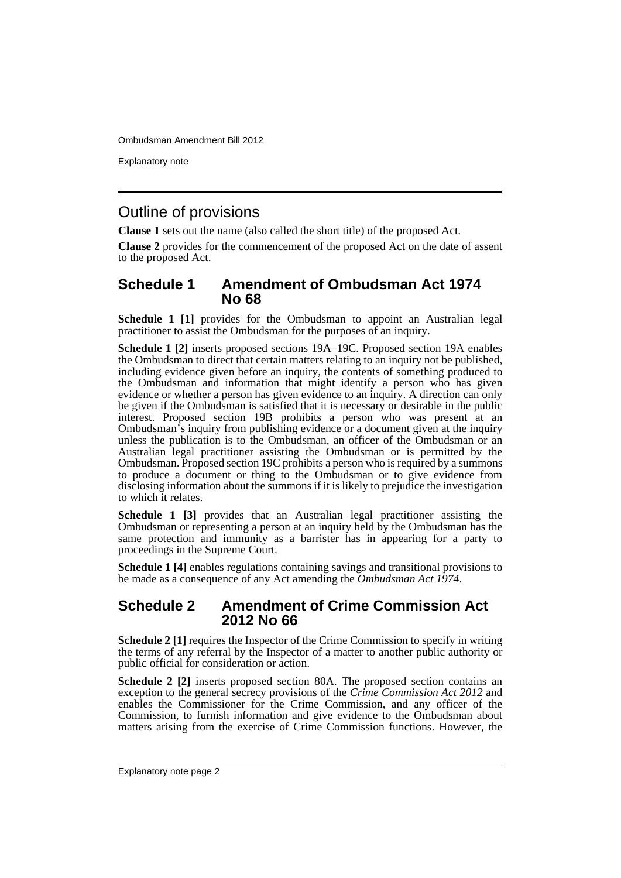Explanatory note

## Outline of provisions

**Clause 1** sets out the name (also called the short title) of the proposed Act.

**Clause 2** provides for the commencement of the proposed Act on the date of assent to the proposed Act.

### **Schedule 1 Amendment of Ombudsman Act 1974 No 68**

**Schedule 1 [1]** provides for the Ombudsman to appoint an Australian legal practitioner to assist the Ombudsman for the purposes of an inquiry.

**Schedule 1 [2]** inserts proposed sections 19A–19C. Proposed section 19A enables the Ombudsman to direct that certain matters relating to an inquiry not be published, including evidence given before an inquiry, the contents of something produced to the Ombudsman and information that might identify a person who has given evidence or whether a person has given evidence to an inquiry. A direction can only be given if the Ombudsman is satisfied that it is necessary or desirable in the public interest. Proposed section 19B prohibits a person who was present at an Ombudsman's inquiry from publishing evidence or a document given at the inquiry unless the publication is to the Ombudsman, an officer of the Ombudsman or an Australian legal practitioner assisting the Ombudsman or is permitted by the Ombudsman. Proposed section 19C prohibits a person who is required by a summons to produce a document or thing to the Ombudsman or to give evidence from disclosing information about the summons if it is likely to prejudice the investigation to which it relates.

**Schedule 1 [3]** provides that an Australian legal practitioner assisting the Ombudsman or representing a person at an inquiry held by the Ombudsman has the same protection and immunity as a barrister has in appearing for a party to proceedings in the Supreme Court.

**Schedule 1 [4]** enables regulations containing savings and transitional provisions to be made as a consequence of any Act amending the *Ombudsman Act 1974*.

### **Schedule 2 Amendment of Crime Commission Act 2012 No 66**

**Schedule 2 [1]** requires the Inspector of the Crime Commission to specify in writing the terms of any referral by the Inspector of a matter to another public authority or public official for consideration or action.

**Schedule 2 [2]** inserts proposed section 80A. The proposed section contains an exception to the general secrecy provisions of the *Crime Commission Act 2012* and enables the Commissioner for the Crime Commission, and any officer of the Commission, to furnish information and give evidence to the Ombudsman about matters arising from the exercise of Crime Commission functions. However, the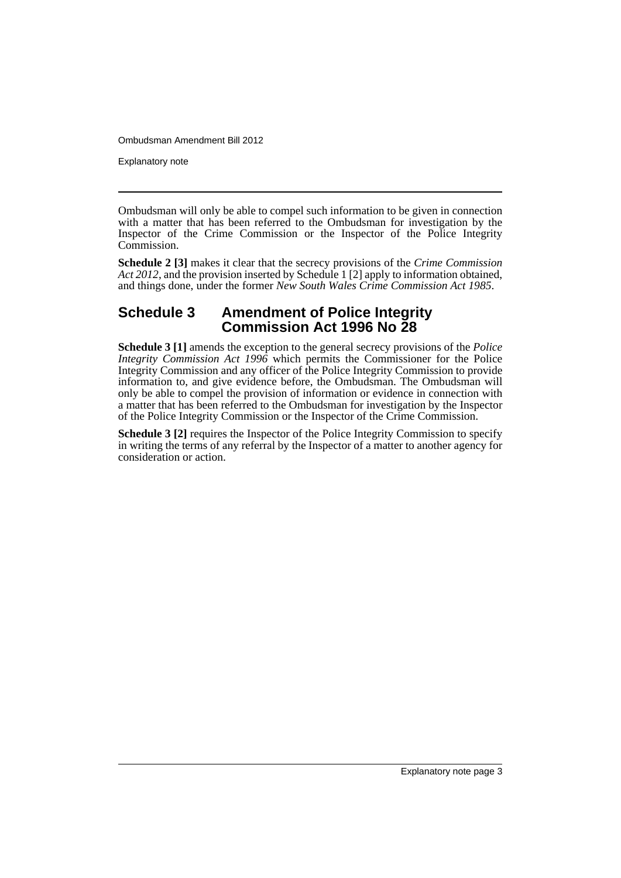Explanatory note

Ombudsman will only be able to compel such information to be given in connection with a matter that has been referred to the Ombudsman for investigation by the Inspector of the Crime Commission or the Inspector of the Police Integrity Commission.

**Schedule 2 [3]** makes it clear that the secrecy provisions of the *Crime Commission Act 2012*, and the provision inserted by Schedule 1 [2] apply to information obtained, and things done, under the former *New South Wales Crime Commission Act 1985*.

## **Schedule 3 Amendment of Police Integrity Commission Act 1996 No 28**

**Schedule 3 [1]** amends the exception to the general secrecy provisions of the *Police Integrity Commission Act 1996* which permits the Commissioner for the Police Integrity Commission and any officer of the Police Integrity Commission to provide information to, and give evidence before, the Ombudsman. The Ombudsman will only be able to compel the provision of information or evidence in connection with a matter that has been referred to the Ombudsman for investigation by the Inspector of the Police Integrity Commission or the Inspector of the Crime Commission.

**Schedule 3 [2]** requires the Inspector of the Police Integrity Commission to specify in writing the terms of any referral by the Inspector of a matter to another agency for consideration or action.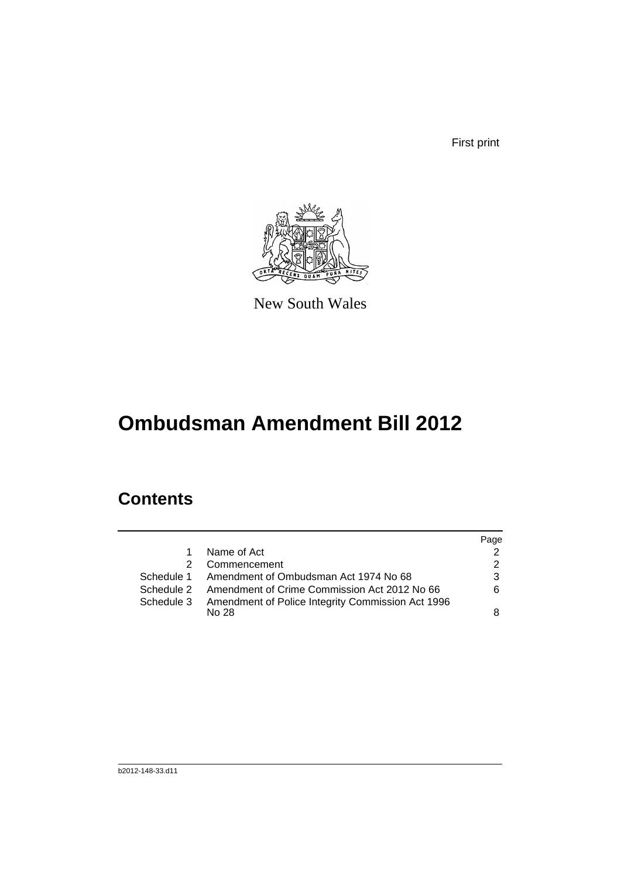First print



New South Wales

# **Ombudsman Amendment Bill 2012**

## **Contents**

|              | Page                                                                                                                                                                        |
|--------------|-----------------------------------------------------------------------------------------------------------------------------------------------------------------------------|
| Name of Act  |                                                                                                                                                                             |
| Commencement |                                                                                                                                                                             |
|              | 3                                                                                                                                                                           |
|              | 6                                                                                                                                                                           |
|              |                                                                                                                                                                             |
| No.28        | 8                                                                                                                                                                           |
|              | Schedule 1 Amendment of Ombudsman Act 1974 No 68<br>Schedule 2 Amendment of Crime Commission Act 2012 No 66<br>Schedule 3 Amendment of Police Integrity Commission Act 1996 |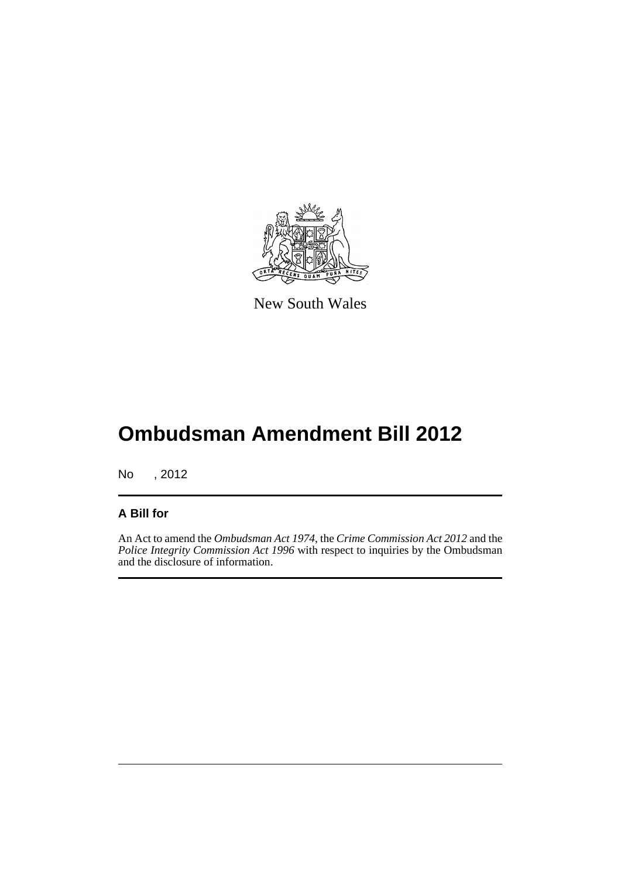

New South Wales

# **Ombudsman Amendment Bill 2012**

No , 2012

### **A Bill for**

An Act to amend the *Ombudsman Act 1974*, the *Crime Commission Act 2012* and the *Police Integrity Commission Act 1996* with respect to inquiries by the Ombudsman and the disclosure of information.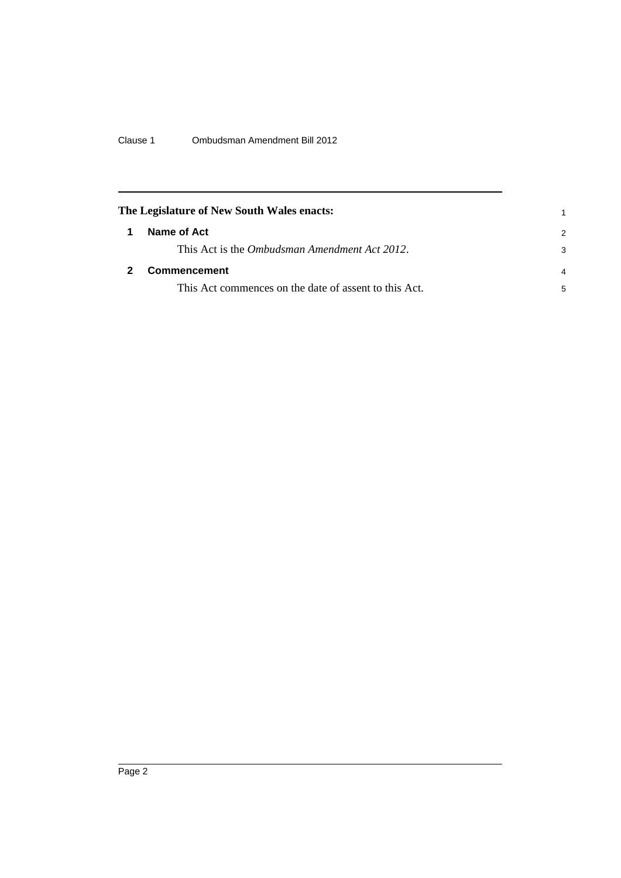Clause 1 Ombudsman Amendment Bill 2012

<span id="page-7-1"></span><span id="page-7-0"></span>

|   | The Legislature of New South Wales enacts:            |   |
|---|-------------------------------------------------------|---|
| 1 | Name of Act                                           | 2 |
|   | This Act is the <i>Ombudsman Amendment Act 2012</i> . | 3 |
|   | Commencement                                          |   |
|   | This Act commences on the date of assent to this Act. | 5 |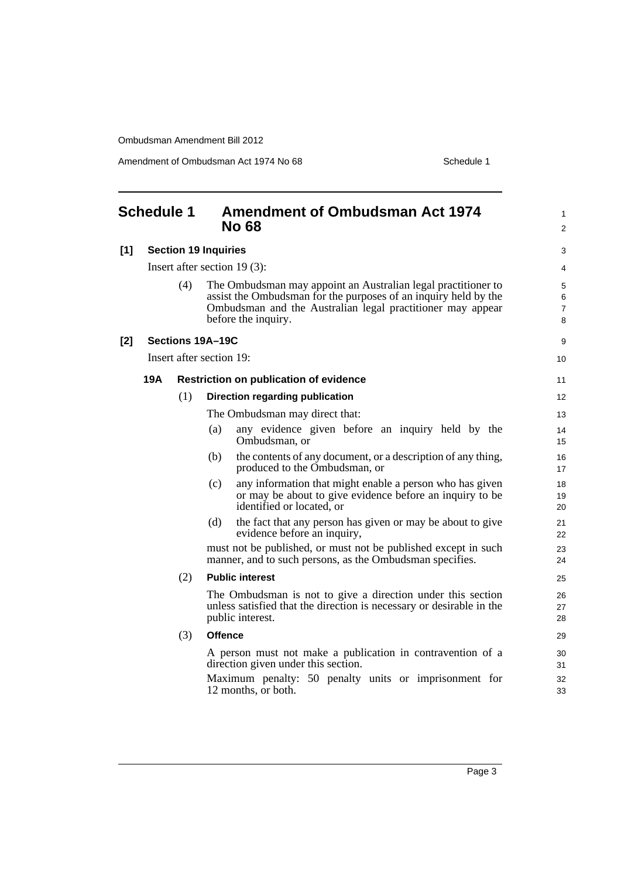Amendment of Ombudsman Act 1974 No 68 Schedule 1

<span id="page-8-0"></span>

| <b>Schedule 1</b> |            |                             | <b>No 68</b>                                  | <b>Amendment of Ombudsman Act 1974</b>                                                                                                                                                         | $\mathbf{1}$<br>2 |
|-------------------|------------|-----------------------------|-----------------------------------------------|------------------------------------------------------------------------------------------------------------------------------------------------------------------------------------------------|-------------------|
| [1]               |            | <b>Section 19 Inquiries</b> |                                               |                                                                                                                                                                                                | 3                 |
|                   |            |                             | Insert after section $19(3)$ :                |                                                                                                                                                                                                | 4                 |
|                   |            | (4)                         | before the inquiry.                           | The Ombudsman may appoint an Australian legal practitioner to<br>assist the Ombudsman for the purposes of an inquiry held by the<br>Ombudsman and the Australian legal practitioner may appear | 5<br>6<br>7<br>8  |
| [2]               |            |                             | Sections 19A-19C                              |                                                                                                                                                                                                | 9                 |
|                   |            |                             | Insert after section 19:                      |                                                                                                                                                                                                | 10                |
|                   | <b>19A</b> |                             | <b>Restriction on publication of evidence</b> |                                                                                                                                                                                                | 11                |
|                   |            | (1)                         | Direction regarding publication               |                                                                                                                                                                                                | 12                |
|                   |            |                             | The Ombudsman may direct that:                |                                                                                                                                                                                                | 13                |
|                   |            |                             | (a)<br>Ombudsman, or                          | any evidence given before an inquiry held by the                                                                                                                                               | 14<br>15          |
|                   |            |                             | (b)                                           | the contents of any document, or a description of any thing,<br>produced to the Ombudsman, or                                                                                                  | 16<br>17          |
|                   |            |                             | (c)<br>identified or located, or              | any information that might enable a person who has given<br>or may be about to give evidence before an inquiry to be                                                                           | 18<br>19<br>20    |
|                   |            |                             | (d)<br>evidence before an inquiry,            | the fact that any person has given or may be about to give                                                                                                                                     | 21<br>22          |
|                   |            |                             |                                               | must not be published, or must not be published except in such<br>manner, and to such persons, as the Ombudsman specifies.                                                                     | 23<br>24          |
|                   |            | (2)                         | <b>Public interest</b>                        |                                                                                                                                                                                                | 25                |
|                   |            |                             | public interest.                              | The Ombudsman is not to give a direction under this section<br>unless satisfied that the direction is necessary or desirable in the                                                            | 26<br>27<br>28    |
|                   |            | (3)                         | <b>Offence</b>                                |                                                                                                                                                                                                | 29                |
|                   |            |                             | direction given under this section.           | A person must not make a publication in contravention of a                                                                                                                                     | 30<br>31          |
|                   |            |                             | 12 months, or both.                           | Maximum penalty: 50 penalty units or imprisonment for                                                                                                                                          | 32<br>33          |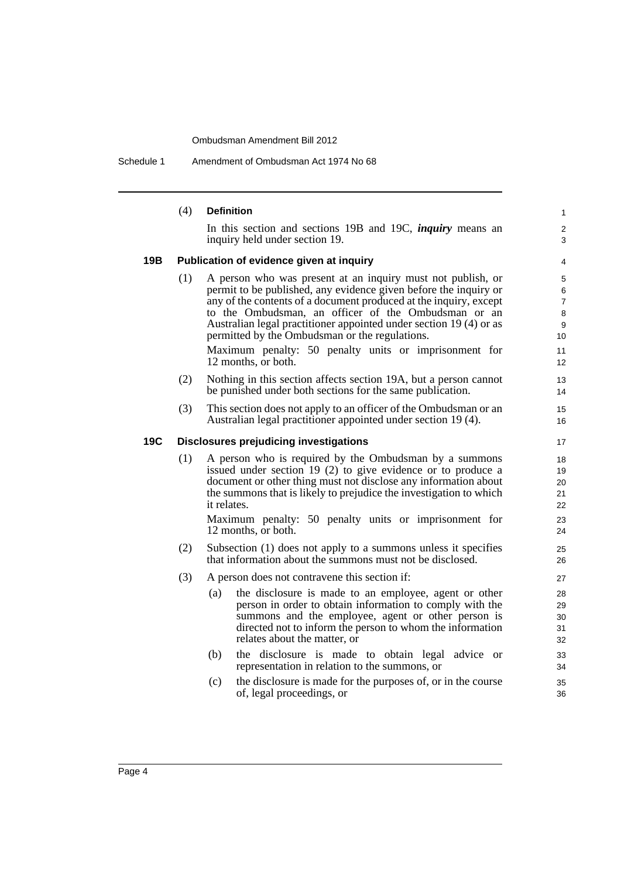Schedule 1 Amendment of Ombudsman Act 1974 No 68

|     | (4)                                           | <b>Definition</b>                                                                                                                                                                                                                                                                                                                                                                                                                                                   | $\mathbf{1}$                                                        |  |  |
|-----|-----------------------------------------------|---------------------------------------------------------------------------------------------------------------------------------------------------------------------------------------------------------------------------------------------------------------------------------------------------------------------------------------------------------------------------------------------------------------------------------------------------------------------|---------------------------------------------------------------------|--|--|
|     |                                               | In this section and sections 19B and 19C, <i>inquiry</i> means an<br>inquiry held under section 19.                                                                                                                                                                                                                                                                                                                                                                 | 2<br>3                                                              |  |  |
| 19B |                                               | Publication of evidence given at inquiry                                                                                                                                                                                                                                                                                                                                                                                                                            | 4                                                                   |  |  |
|     | (1)                                           | A person who was present at an inquiry must not publish, or<br>permit to be published, any evidence given before the inquiry or<br>any of the contents of a document produced at the inquiry, except<br>to the Ombudsman, an officer of the Ombudsman or an<br>Australian legal practitioner appointed under section 19 (4) or as<br>permitted by the Ombudsman or the regulations.<br>Maximum penalty: 50 penalty units or imprisonment for<br>12 months, or both. | 5<br>6<br>$\overline{7}$<br>8<br>$\boldsymbol{9}$<br>10<br>11<br>12 |  |  |
|     | (2)                                           | Nothing in this section affects section 19A, but a person cannot<br>be punished under both sections for the same publication.                                                                                                                                                                                                                                                                                                                                       | 13<br>14                                                            |  |  |
|     | (3)                                           | This section does not apply to an officer of the Ombudsman or an<br>Australian legal practitioner appointed under section 19 (4).                                                                                                                                                                                                                                                                                                                                   | 15<br>16                                                            |  |  |
| 19C | <b>Disclosures prejudicing investigations</b> |                                                                                                                                                                                                                                                                                                                                                                                                                                                                     |                                                                     |  |  |
|     | (1)                                           | A person who is required by the Ombudsman by a summons<br>issued under section 19 (2) to give evidence or to produce a<br>document or other thing must not disclose any information about<br>the summons that is likely to prejudice the investigation to which<br>it relates.<br>Maximum penalty: 50 penalty units or imprisonment for<br>12 months, or both.                                                                                                      |                                                                     |  |  |
|     | (2)                                           | Subsection (1) does not apply to a summons unless it specifies<br>that information about the summons must not be disclosed.                                                                                                                                                                                                                                                                                                                                         |                                                                     |  |  |
|     | (3)                                           | A person does not contravene this section if:                                                                                                                                                                                                                                                                                                                                                                                                                       | 27                                                                  |  |  |
|     |                                               | the disclosure is made to an employee, agent or other<br>(a)<br>person in order to obtain information to comply with the<br>summons and the employee, agent or other person is<br>directed not to inform the person to whom the information<br>relates about the matter, or                                                                                                                                                                                         | 28<br>29<br>30<br>31<br>32                                          |  |  |
|     |                                               | (b)<br>the disclosure is made to obtain legal advice or<br>representation in relation to the summons, or                                                                                                                                                                                                                                                                                                                                                            | 33<br>34                                                            |  |  |
|     |                                               | (c)<br>the disclosure is made for the purposes of, or in the course<br>of, legal proceedings, or                                                                                                                                                                                                                                                                                                                                                                    | 35<br>36                                                            |  |  |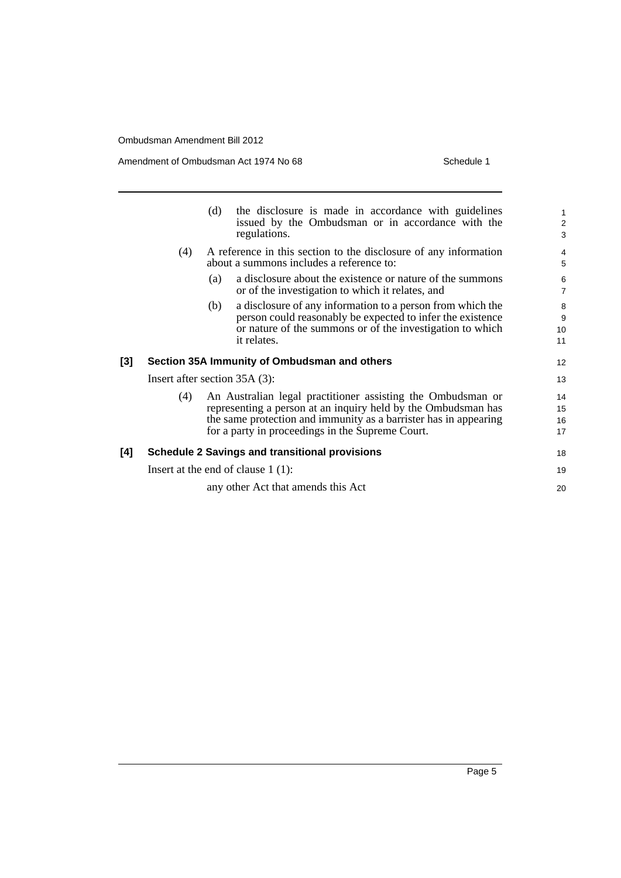Amendment of Ombudsman Act 1974 No 68 Schedule 1

|     |                                      | (d) | the disclosure is made in accordance with guidelines<br>issued by the Ombudsman or in accordance with the<br>regulations.                                                                                                                            | $\mathbf{1}$<br>$\overline{2}$<br>3 |
|-----|--------------------------------------|-----|------------------------------------------------------------------------------------------------------------------------------------------------------------------------------------------------------------------------------------------------------|-------------------------------------|
|     | (4)                                  |     | A reference in this section to the disclosure of any information<br>about a summons includes a reference to:                                                                                                                                         | 4<br>5                              |
|     |                                      | (a) | a disclosure about the existence or nature of the summons<br>or of the investigation to which it relates, and                                                                                                                                        | 6<br>$\overline{7}$                 |
|     |                                      | (b) | a disclosure of any information to a person from which the<br>person could reasonably be expected to infer the existence<br>or nature of the summons or of the investigation to which<br>it relates.                                                 | 8<br>9<br>10<br>11                  |
| [3] |                                      |     | Section 35A Immunity of Ombudsman and others                                                                                                                                                                                                         | 12                                  |
|     | Insert after section $35A(3)$ :      |     |                                                                                                                                                                                                                                                      | 13                                  |
|     | (4)                                  |     | An Australian legal practitioner assisting the Ombudsman or<br>representing a person at an inquiry held by the Ombudsman has<br>the same protection and immunity as a barrister has in appearing<br>for a party in proceedings in the Supreme Court. | 14<br>15<br>16<br>17                |
| [4] |                                      |     | <b>Schedule 2 Savings and transitional provisions</b>                                                                                                                                                                                                | 18                                  |
|     | Insert at the end of clause $1(1)$ : |     |                                                                                                                                                                                                                                                      | 19                                  |
|     |                                      |     | any other Act that amends this Act                                                                                                                                                                                                                   | 20                                  |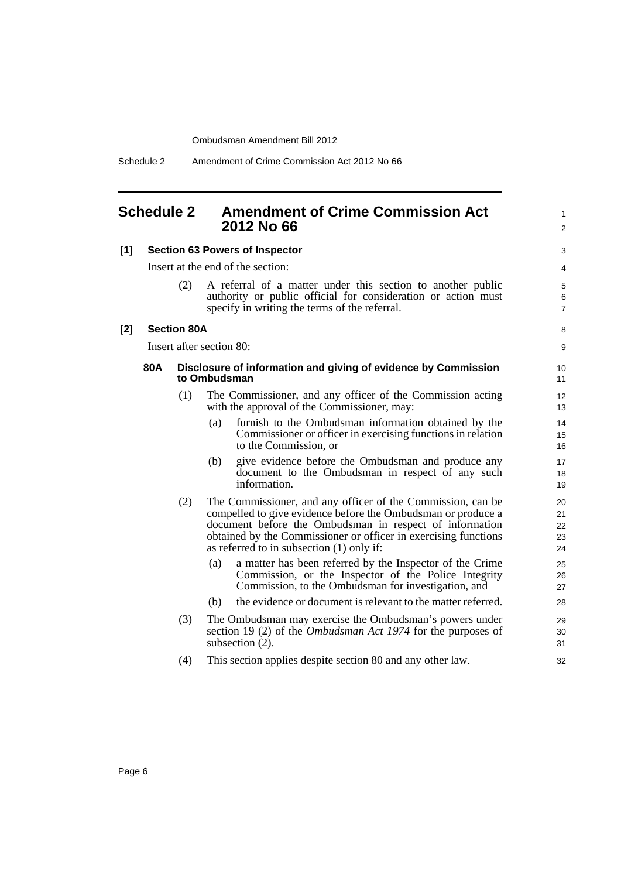#### <span id="page-11-0"></span>**Schedule 2 Amendment of Crime Commission Act 2012 No 66**

#### **[1] Section 63 Powers of Inspector**

Insert at the end of the section:

| (2) | A referral of a matter under this section to another public   |
|-----|---------------------------------------------------------------|
|     | authority or public official for consideration or action must |
|     | specify in writing the terms of the referral.                 |

1  $\mathfrak{p}$ 

8 9

#### **[2] Section 80A**

Insert after section 80:

#### **80A Disclosure of information and giving of evidence by Commission to Ombudsman**

- (1) The Commissioner, and any officer of the Commission acting with the approval of the Commissioner, may:
	- (a) furnish to the Ombudsman information obtained by the Commissioner or officer in exercising functions in relation to the Commission, or
	- (b) give evidence before the Ombudsman and produce any document to the Ombudsman in respect of any such information.
- (2) The Commissioner, and any officer of the Commission, can be compelled to give evidence before the Ombudsman or produce a document before the Ombudsman in respect of information obtained by the Commissioner or officer in exercising functions as referred to in subsection (1) only if:
	- (a) a matter has been referred by the Inspector of the Crime Commission, or the Inspector of the Police Integrity Commission, to the Ombudsman for investigation, and
	- (b) the evidence or document is relevant to the matter referred.
- (3) The Ombudsman may exercise the Ombudsman's powers under section 19 (2) of the *Ombudsman Act 1974* for the purposes of subsection (2).
- (4) This section applies despite section 80 and any other law.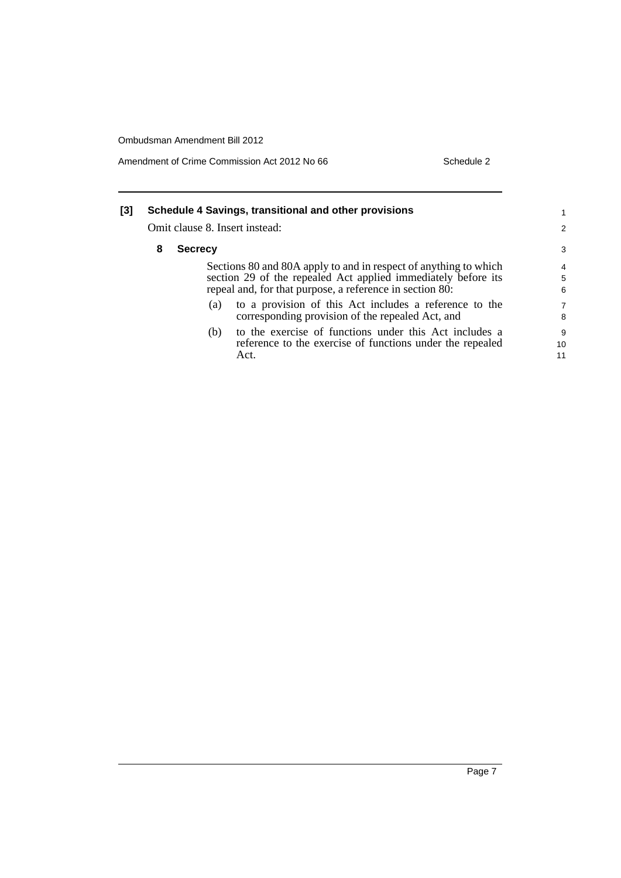Amendment of Crime Commission Act 2012 No 66 Schedule 2

| [3] | Schedule 4 Savings, transitional and other provisions<br>Omit clause 8. Insert instead: |                |                                                                  |                |
|-----|-----------------------------------------------------------------------------------------|----------------|------------------------------------------------------------------|----------------|
|     |                                                                                         |                |                                                                  | 2              |
|     | 8                                                                                       | <b>Secrecy</b> |                                                                  | 3              |
|     |                                                                                         |                | Sections 80 and 80A apply to and in respect of anything to which | 4              |
|     |                                                                                         |                | section 29 of the repealed Act applied immediately before its    | 5              |
|     |                                                                                         |                | repeal and, for that purpose, a reference in section 80:         | 6              |
|     |                                                                                         | (a)            | to a provision of this Act includes a reference to the           | $\overline{7}$ |
|     |                                                                                         |                | corresponding provision of the repealed Act, and                 | 8              |
|     |                                                                                         | (b)            | to the exercise of functions under this Act includes a           | 9              |
|     |                                                                                         |                | reference to the exercise of functions under the repealed        | 10             |
|     |                                                                                         |                | Act.                                                             | 11             |